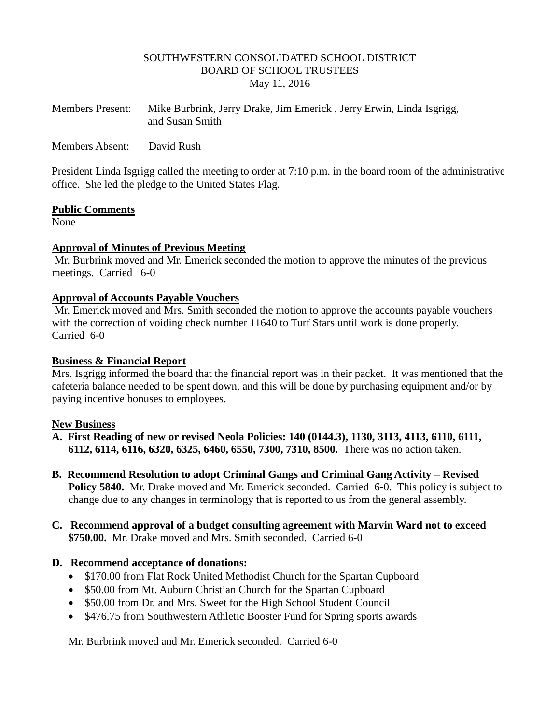## SOUTHWESTERN CONSOLIDATED SCHOOL DISTRICT BOARD OF SCHOOL TRUSTEES May 11, 2016

| <b>Members Present:</b> | Mike Burbrink, Jerry Drake, Jim Emerick, Jerry Erwin, Linda Isgrigg, |
|-------------------------|----------------------------------------------------------------------|
|                         | and Susan Smith                                                      |

Members Absent: David Rush

President Linda Isgrigg called the meeting to order at 7:10 p.m. in the board room of the administrative office. She led the pledge to the United States Flag.

## **Public Comments**

None

## **Approval of Minutes of Previous Meeting**

Mr. Burbrink moved and Mr. Emerick seconded the motion to approve the minutes of the previous meetings. Carried 6-0

## **Approval of Accounts Payable Vouchers**

Mr. Emerick moved and Mrs. Smith seconded the motion to approve the accounts payable vouchers with the correction of voiding check number 11640 to Turf Stars until work is done properly. Carried 6-0

## **Business & Financial Report**

Mrs. Isgrigg informed the board that the financial report was in their packet. It was mentioned that the cafeteria balance needed to be spent down, and this will be done by purchasing equipment and/or by paying incentive bonuses to employees.

## **New Business**

- **A. First Reading of new or revised Neola Policies: 140 (0144.3), 1130, 3113, 4113, 6110, 6111, 6112, 6114, 6116, 6320, 6325, 6460, 6550, 7300, 7310, 8500.** There was no action taken.
- **B. Recommend Resolution to adopt Criminal Gangs and Criminal Gang Activity – Revised Policy 5840.** Mr. Drake moved and Mr. Emerick seconded. Carried 6-0. This policy is subject to change due to any changes in terminology that is reported to us from the general assembly.
- **C. Recommend approval of a budget consulting agreement with Marvin Ward not to exceed \$750.00.** Mr. Drake moved and Mrs. Smith seconded. Carried 6-0

## **D. Recommend acceptance of donations:**

- \$170.00 from Flat Rock United Methodist Church for the Spartan Cupboard
- \$50.00 from Mt. Auburn Christian Church for the Spartan Cupboard
- \$50.00 from Dr. and Mrs. Sweet for the High School Student Council
- \$476.75 from Southwestern Athletic Booster Fund for Spring sports awards

Mr. Burbrink moved and Mr. Emerick seconded. Carried 6-0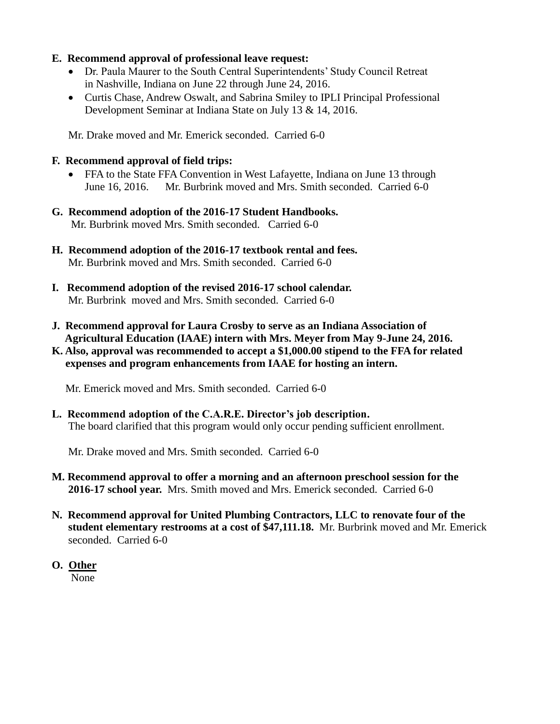## **E. Recommend approval of professional leave request:**

- Dr. Paula Maurer to the South Central Superintendents' Study Council Retreat in Nashville, Indiana on June 22 through June 24, 2016.
- Curtis Chase, Andrew Oswalt, and Sabrina Smiley to IPLI Principal Professional Development Seminar at Indiana State on July 13 & 14, 2016.

Mr. Drake moved and Mr. Emerick seconded. Carried 6-0

# **F. Recommend approval of field trips:**

- FFA to the State FFA Convention in West Lafayette, Indiana on June 13 through June 16, 2016.Mr. Burbrink moved and Mrs. Smith seconded. Carried 6-0
- **G. Recommend adoption of the 2016-17 Student Handbooks.** Mr. Burbrink moved Mrs. Smith seconded. Carried 6-0
- **H. Recommend adoption of the 2016-17 textbook rental and fees.** Mr. Burbrink moved and Mrs. Smith seconded. Carried 6-0
- **I. Recommend adoption of the revised 2016-17 school calendar.** Mr. Burbrinkmoved and Mrs. Smith seconded. Carried 6-0
- **J. Recommend approval for Laura Crosby to serve as an Indiana Association of Agricultural Education (IAAE) intern with Mrs. Meyer from May 9-June 24, 2016.**
- **K. Also, approval was recommended to accept a \$1,000.00 stipend to the FFA for related expenses and program enhancements from IAAE for hosting an intern.**

Mr. Emerick moved and Mrs. Smith seconded. Carried 6-0

**L. Recommend adoption of the C.A.R.E. Director's job description.** The board clarified that this program would only occur pending sufficient enrollment.

Mr. Drake moved and Mrs. Smith seconded. Carried 6-0

- **M. Recommend approval to offer a morning and an afternoon preschool session for the 2016-17 school year.** Mrs. Smith moved and Mrs. Emerick seconded. Carried 6-0
- **N. Recommend approval for United Plumbing Contractors, LLC to renovate four of the student elementary restrooms at a cost of \$47,111.18.** Mr. Burbrink moved and Mr. Emerick seconded. Carried 6-0
- **O. Other** None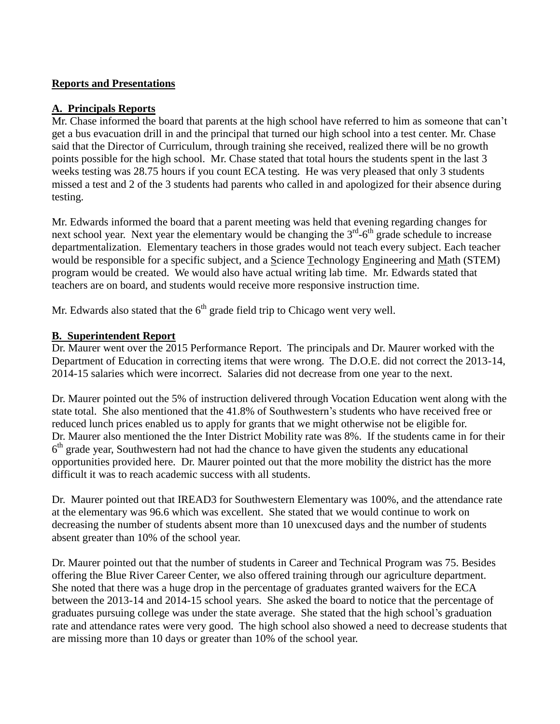## **Reports and Presentations**

## **A. Principals Reports**

Mr. Chase informed the board that parents at the high school have referred to him as someone that can't get a bus evacuation drill in and the principal that turned our high school into a test center. Mr. Chase said that the Director of Curriculum, through training she received, realized there will be no growth points possible for the high school. Mr. Chase stated that total hours the students spent in the last 3 weeks testing was 28.75 hours if you count ECA testing. He was very pleased that only 3 students missed a test and 2 of the 3 students had parents who called in and apologized for their absence during testing.

Mr. Edwards informed the board that a parent meeting was held that evening regarding changes for next school year. Next year the elementary would be changing the  $3<sup>rd</sup>$ -6<sup>th</sup> grade schedule to increase departmentalization. Elementary teachers in those grades would not teach every subject. Each teacher would be responsible for a specific subject, and a Science Technology Engineering and Math (STEM) program would be created. We would also have actual writing lab time. Mr. Edwards stated that teachers are on board, and students would receive more responsive instruction time.

Mr. Edwards also stated that the  $6<sup>th</sup>$  grade field trip to Chicago went very well.

## **B. Superintendent Report**

Dr. Maurer went over the 2015 Performance Report. The principals and Dr. Maurer worked with the Department of Education in correcting items that were wrong. The D.O.E. did not correct the 2013-14, 2014-15 salaries which were incorrect. Salaries did not decrease from one year to the next.

Dr. Maurer pointed out the 5% of instruction delivered through Vocation Education went along with the state total. She also mentioned that the 41.8% of Southwestern's students who have received free or reduced lunch prices enabled us to apply for grants that we might otherwise not be eligible for. Dr. Maurer also mentioned the the Inter District Mobility rate was 8%. If the students came in for their 6<sup>th</sup> grade year, Southwestern had not had the chance to have given the students any educational opportunities provided here. Dr. Maurer pointed out that the more mobility the district has the more difficult it was to reach academic success with all students.

Dr. Maurer pointed out that IREAD3 for Southwestern Elementary was 100%, and the attendance rate at the elementary was 96.6 which was excellent. She stated that we would continue to work on decreasing the number of students absent more than 10 unexcused days and the number of students absent greater than 10% of the school year.

Dr. Maurer pointed out that the number of students in Career and Technical Program was 75. Besides offering the Blue River Career Center, we also offered training through our agriculture department. She noted that there was a huge drop in the percentage of graduates granted waivers for the ECA between the 2013-14 and 2014-15 school years. She asked the board to notice that the percentage of graduates pursuing college was under the state average. She stated that the high school's graduation rate and attendance rates were very good. The high school also showed a need to decrease students that are missing more than 10 days or greater than 10% of the school year.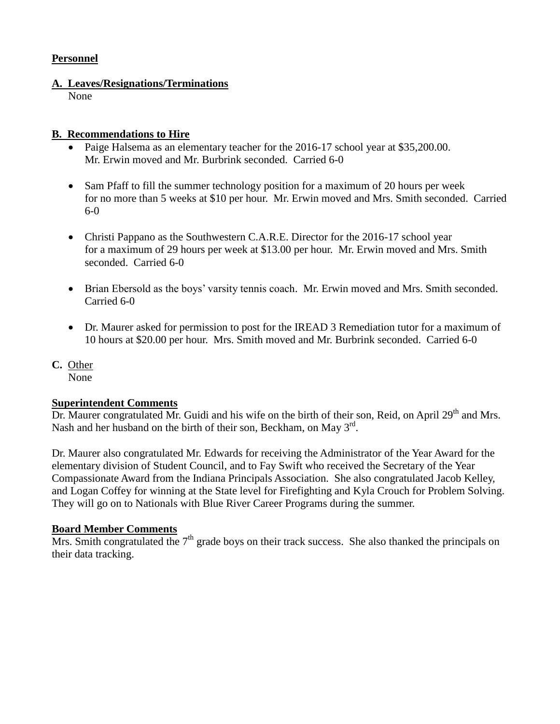## **Personnel**

## **A. Leaves/Resignations/Terminations**

None

## **B. Recommendations to Hire**

- Paige Halsema as an elementary teacher for the 2016-17 school year at \$35,200.00. Mr. Erwin moved and Mr. Burbrink seconded. Carried 6-0
- Sam Pfaff to fill the summer technology position for a maximum of 20 hours per week for no more than 5 weeks at \$10 per hour. Mr. Erwin moved and Mrs. Smith seconded. Carried 6-0
- Christi Pappano as the Southwestern C.A.R.E. Director for the 2016-17 school year for a maximum of 29 hours per week at \$13.00 per hour. Mr. Erwin moved and Mrs. Smith seconded. Carried 6-0
- Brian Ebersold as the boys' varsity tennis coach. Mr. Erwin moved and Mrs. Smith seconded. Carried 6-0
- Dr. Maurer asked for permission to post for the IREAD 3 Remediation tutor for a maximum of 10 hours at \$20.00 per hour. Mrs. Smith moved and Mr. Burbrink seconded. Carried 6-0
- **C.** Other None

## **Superintendent Comments**

Dr. Maurer congratulated Mr. Guidi and his wife on the birth of their son, Reid, on April 29<sup>th</sup> and Mrs. Nash and her husband on the birth of their son, Beckham, on May  $3<sup>rd</sup>$ .

Dr. Maurer also congratulated Mr. Edwards for receiving the Administrator of the Year Award for the elementary division of Student Council, and to Fay Swift who received the Secretary of the Year Compassionate Award from the Indiana Principals Association. She also congratulated Jacob Kelley, and Logan Coffey for winning at the State level for Firefighting and Kyla Crouch for Problem Solving. They will go on to Nationals with Blue River Career Programs during the summer.

## **Board Member Comments**

Mrs. Smith congratulated the  $7<sup>th</sup>$  grade boys on their track success. She also thanked the principals on their data tracking.